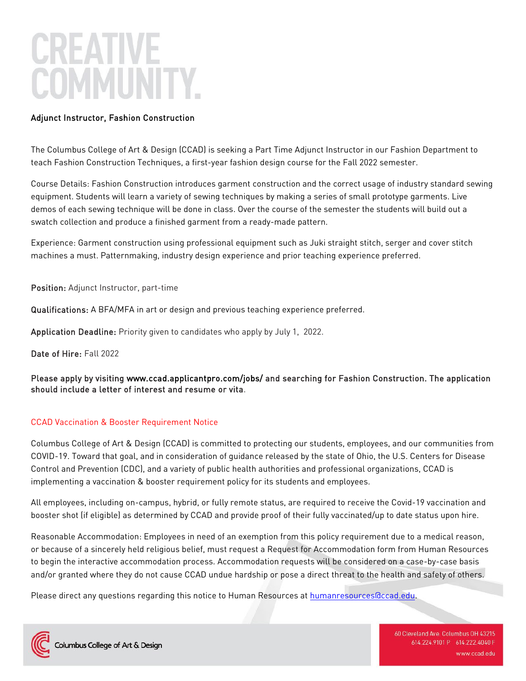# Adjunct Instructor, Fashion Construction

The Columbus College of Art & Design (CCAD) is seeking a Part Time Adjunct Instructor in our Fashion Department to teach Fashion Construction Techniques, a first-year fashion design course for the Fall 2022 semester.

Course Details: Fashion Construction introduces garment construction and the correct usage of industry standard sewing equipment. Students will learn a variety of sewing techniques by making a series of small prototype garments. Live demos of each sewing technique will be done in class. Over the course of the semester the students will build out a swatch collection and produce a finished garment from a ready-made pattern.

Experience: Garment construction using professional equipment such as Juki straight stitch, serger and cover stitch machines a must. Patternmaking, industry design experience and prior teaching experience preferred.

Position: Adjunct Instructor, part-time

Qualifications: A BFA/MFA in art or design and previous teaching experience preferred.

Application Deadline: Priority given to candidates who apply by July 1, 2022.

Date of Hire: Fall 2022

Please apply by visiting [www.ccad.applicantpro.com/jobs/ a](http://www.ccad.applicantpro.com/jobs/)nd searching for Fashion Construction. The application should include a letter of interest and resume or vita.

## CCAD Vaccination & Booster Requirement Notice

Columbus College of Art & Design (CCAD) is committed to protecting our students, employees, and our communities from COVID-19. Toward that goal, and in consideration of guidance released by the state of Ohio, the U.S. Centers for Disease Control and Prevention (CDC), and a variety of public health authorities and professional organizations, CCAD is implementing a vaccination & booster requirement policy for its students and employees.

All employees, including on-campus, hybrid, or fully remote status, are required to receive the Covid-19 vaccination and booster shot (if eligible) as determined by CCAD and provide proof of their fully vaccinated/up to date status upon hire.

Reasonable Accommodation: Employees in need of an exemption from this policy requirement due to a medical reason, or because of a sincerely held religious belief, must request a Request for Accommodation form from Human Resources to begin the interactive accommodation process. Accommodation requests will be considered on a case-by-case basis and/or granted where they do not cause CCAD undue hardship or pose a direct threat to the health and safety of others.

Please direct any questions regarding this notice to Human Resources at [humanresources@ccad.edu.](mailto:humanresources@ccad.edu)